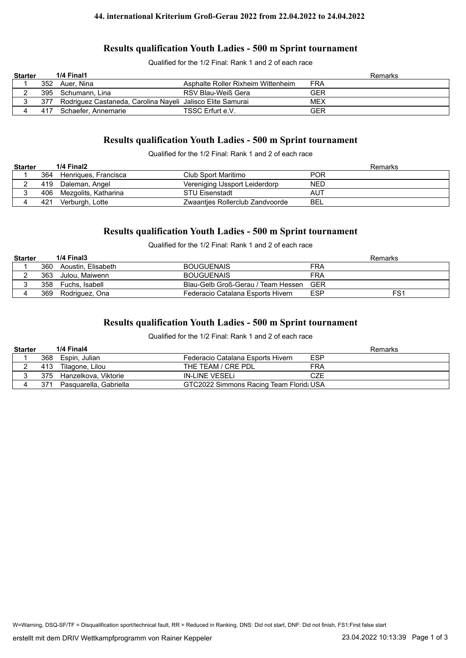## **Results qualification Youth Ladies - 500 m Sprint tournament**

Qualified for the 1/2 Final: Rank 1 and 2 of each race

| <b>Starter</b> |     | 1/4 Final1                                                 |                                    |     | Remarks |
|----------------|-----|------------------------------------------------------------|------------------------------------|-----|---------|
|                | 352 | ` Auer. Nina                                               | Asphalte Roller Rixheim Wittenheim | FRA |         |
|                |     | 395 Schumann, Lina                                         | RSV Blau-Weiß Gera                 | GER |         |
|                | 377 | Rodriguez Castaneda, Carolina Nayeli Jalisco Elite Samurai |                                    | MEX |         |
|                | 417 | Schaefer. Annemarie                                        | TSSC Erfurt e.V.                   | GER |         |

# **Results qualification Youth Ladies - 500 m Sprint tournament**

Qualified for the 1/2 Final: Rank 1 and 2 of each race

| <b>Starter</b> |     | 1/4 Final2           |                                 | Remarks    |
|----------------|-----|----------------------|---------------------------------|------------|
|                | 364 | Henriques, Francisca | Club Sport Maritimo             | POR        |
|                | 419 | Daleman, Angel       | Vereniging IJssport Leiderdorp  | <b>NED</b> |
|                | 406 | Mezgolits, Katharina | <b>STU Eisenstadt</b>           | AUT        |
|                | 421 | Verburgh, Lotte      | Zwaanties Rollerclub Zandvoorde | BEL        |

## **Results qualification Youth Ladies - 500 m Sprint tournament**

Qualified for the 1/2 Final: Rank 1 and 2 of each race

| <b>Starter</b> |     | 1/4 Final3         |                                    |     | Remarks |
|----------------|-----|--------------------|------------------------------------|-----|---------|
|                | 360 | Aoustin, Elisabeth | <b>BOUGUENAIS</b>                  | FRA |         |
|                | 363 | Julou. Maiwenn     | <b>BOUGUENAIS</b>                  | FRA |         |
|                | 358 | Fuchs. Isabell     | Blau-Gelb Groß-Gerau / Team Hessen | GER |         |
|                | 369 | Rodriguez, Ona     | Federacio Catalana Esports Hivern  | ESP | FS1     |

## **Results qualification Youth Ladies - 500 m Sprint tournament**

Qualified for the 1/2 Final: Rank 1 and 2 of each race

| <b>Starter</b> |     | 1/4 Final4             |                                         |            | Remarks |
|----------------|-----|------------------------|-----------------------------------------|------------|---------|
|                | 368 | Espin. Julian          | Federacio Catalana Esports Hivern       | <b>ESP</b> |         |
|                | 413 | Tilagone, Lilou        | THE TEAM / CRE PDL                      | FRA        |         |
|                | 375 | Hanzelkova, Viktorie   | IN-LINE VESELI                          | CZE        |         |
|                | 371 | Pasquarella, Gabriella | GTC2022 Simmons Racing Team Florid: USA |            |         |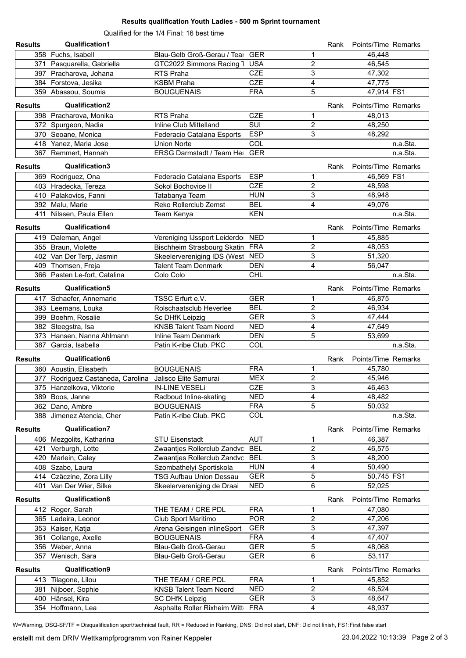#### **Results qualification Youth Ladies - 500 m Sprint tournament**

Qualified for the 1/4 Final: 16 best time

| <b>Results</b> | <b>Qualification1</b>                                   |                                                  |            |                | Rank | Points/Time Remarks |          |
|----------------|---------------------------------------------------------|--------------------------------------------------|------------|----------------|------|---------------------|----------|
|                | 358 Fuchs, Isabell                                      | Blau-Gelb Groß-Gerau / Tear                      | <b>GER</b> | 1              |      | 46,448              |          |
|                | 371 Pasquarella, Gabriella                              | GTC2022 Simmons Racing 1                         | <b>USA</b> | $\overline{c}$ |      | 46,545              |          |
|                | 397 Pracharova, Johana                                  | RTS Praha                                        | <b>CZE</b> | 3              |      | 47,302              |          |
|                | 384 Forstova, Jesika                                    | <b>KSBM Praha</b>                                | <b>CZE</b> | 4              |      | 47,775              |          |
|                | 359 Abassou, Soumia                                     | <b>BOUGUENAIS</b>                                | <b>FRA</b> | 5              |      | 47,914 FS1          |          |
| <b>Results</b> | <b>Qualification2</b>                                   |                                                  |            |                | Rank | Points/Time Remarks |          |
|                | 398 Pracharova, Monika                                  | RTS Praha                                        | <b>CZE</b> | 1              |      | 48,013              |          |
|                |                                                         | Inline Club Mittelland                           | SUI        | $\overline{2}$ |      |                     |          |
|                | 372 Spurgeon, Nadia                                     |                                                  | <b>ESP</b> | 3              |      | 48,250              |          |
|                | 370 Seoane, Monica                                      | Federacio Catalana Esports                       | COL        |                |      | 48,292              | n.a.Sta. |
|                | 418 Yanez, Maria Jose                                   | <b>Union Norte</b>                               |            |                |      |                     |          |
|                | 367 Remmert, Hannah                                     | ERSG Darmstadt / Team Hes                        | <b>GER</b> |                |      |                     | n.a.Sta. |
| <b>Results</b> | Qualification3                                          |                                                  |            |                | Rank | Points/Time Remarks |          |
|                | 369 Rodriguez, Ona                                      | Federacio Catalana Esports                       | <b>ESP</b> | 1              |      | 46,569 FS1          |          |
|                | 403 Hradecka, Tereza                                    | Sokol Bochovice II                               | <b>CZE</b> | $\overline{c}$ |      | 48,598              |          |
|                | 410 Palakovics, Fanni                                   | Tatabanya Team                                   | <b>HUN</b> | 3              |      | 48,948              |          |
|                | 392 Malu, Marie                                         | Reko Rollerclub Zemst                            | <b>BEL</b> | 4              |      | 49,076              |          |
|                | 411 Nilssen, Paula Ellen                                | Team Kenya                                       | <b>KEN</b> |                |      |                     | n.a.Sta. |
| <b>Results</b> | <b>Qualification4</b>                                   |                                                  |            |                | Rank | Points/Time Remarks |          |
|                | 419 Daleman, Angel                                      | Vereniging IJssport Leiderdo                     | <b>NED</b> | 1              |      | 45,885              |          |
|                | 355 Braun, Violette                                     | Bischheim Strasbourg Skatin FRA                  |            | $\overline{2}$ |      | 48,053              |          |
|                | 402 Van Der Terp, Jasmin                                | Skeelervereniging IDS (West NED                  |            | 3              |      | 51,320              |          |
|                | 409 Thomsen, Freja                                      | <b>Talent Team Denmark</b>                       | <b>DEN</b> | 4              |      | 56,047              |          |
|                | 366 Pasten Le-fort, Catalina                            | Colo Colo                                        | <b>CHL</b> |                |      |                     | n.a.Sta. |
|                |                                                         |                                                  |            |                |      |                     |          |
| <b>Results</b> | Qualification5<br>417 Schaefer, Annemarie               | TSSC Erfurt e.V.                                 | <b>GER</b> | 1              | Rank | Points/Time Remarks |          |
|                |                                                         | Rolschaatsclub Heverlee                          | <b>BEL</b> | $\overline{2}$ |      | 46,875<br>46,934    |          |
|                | 393 Leemans, Louka                                      |                                                  | <b>GER</b> | 3              |      |                     |          |
|                | 399 Boehm, Rosalie                                      | Sc DHfK Leipzig<br><b>KNSB Talent Team Noord</b> | <b>NED</b> | 4              |      | 47,444              |          |
|                | 382 Steegstra, Isa<br>373 Hansen, Nanna Ahlmann         | <b>Inline Team Denmark</b>                       | <b>DEN</b> | 5              |      | 47,649              |          |
|                | 387 Garcia, Isabella                                    | Patin K-ribe Club. PKC                           | COL        |                |      | 53,699              | n.a.Sta. |
|                |                                                         |                                                  |            |                |      |                     |          |
| <b>Results</b> | Qualification6                                          |                                                  |            |                | Rank | Points/Time Remarks |          |
|                | 360 Aoustin, Elisabeth                                  | <b>BOUGUENAIS</b>                                | <b>FRA</b> | 1              |      | 45,780              |          |
|                | 377 Rodriguez Castaneda, Carolina Jalisco Elite Samurai |                                                  | <b>MEX</b> | $\overline{c}$ |      | 45,946              |          |
|                | 375 Hanzelkova, Viktorie                                | <b>IN-LINE VESELi</b>                            | <b>CZE</b> | 3              |      | 46,463              |          |
|                | 389 Boos, Janne                                         | Radboud Inline-skating                           | <b>NED</b> | 4              |      | 48,482              |          |
|                | 362 Dano, Ambre                                         | <b>BOUGUENAIS</b>                                | <b>FRA</b> | 5              |      | 50,032              |          |
|                | 388 Jimenez Atencia, Cher                               | Patin K-ribe Club. PKC                           | COL        |                |      |                     | n.a.Sta. |
| <b>Results</b> | <b>Qualification7</b>                                   |                                                  |            |                | Rank | Points/Time Remarks |          |
|                | 406 Mezgolits, Katharina                                | <b>STU Eisenstadt</b>                            | <b>AUT</b> | 1              |      | 46,387              |          |
|                | 421 Verburgh, Lotte                                     | Zwaantjes Rollerclub Zandvc BEL                  |            | $\overline{c}$ |      | 46,575              |          |
|                | 420 Marlein, Caley                                      | Zwaantjes Rollerclub Zandvc                      | <b>BEL</b> | 3              |      | 48,200              |          |
|                | 408 Szabo, Laura                                        | Szombathelyi Sportiskola                         | <b>HUN</b> | 4              |      | 50,490              |          |
|                | 414 Czäczine, Zora Lilly                                | <b>TSG Aufbau Union Dessau</b>                   | <b>GER</b> | 5              |      | 50,745 FS1          |          |
|                | 401 Van Der Wier, Silke                                 | Skeelervereniging de Draai                       | <b>NED</b> | 6              |      | 52,025              |          |
| <b>Results</b> | <b>Qualification8</b>                                   |                                                  |            |                | Rank | Points/Time Remarks |          |
|                | 412 Roger, Sarah                                        | THE TEAM / CRE PDL                               | <b>FRA</b> | 1              |      | 47,080              |          |
|                | 365 Ladeira, Leonor                                     | Club Sport Maritimo                              | <b>POR</b> | $\overline{2}$ |      | 47,206              |          |
|                | 353 Kaiser, Katja                                       | Arena Geisingen inlineSport                      | <b>GER</b> | 3              |      | 47,397              |          |
|                | 361 Collange, Axelle                                    | <b>BOUGUENAIS</b>                                | <b>FRA</b> | 4              |      | 47,407              |          |
|                | 356 Weber, Anna                                         | Blau-Gelb Groß-Gerau                             | <b>GER</b> | 5              |      | 48,068              |          |
|                | 357 Wenisch, Sara                                       | Blau-Gelb Groß-Gerau                             | <b>GER</b> | 6              |      | 53,117              |          |
| <b>Results</b> | Qualification9                                          |                                                  |            |                | Rank | Points/Time Remarks |          |
|                | 413 Tilagone, Lilou                                     | THE TEAM / CRE PDL                               | <b>FRA</b> | 1              |      | 45,852              |          |
|                | 381 Nijboer, Sophie                                     | <b>KNSB Talent Team Noord</b>                    | <b>NED</b> | $\overline{2}$ |      | 48,524              |          |
|                | 400 Hänsel, Kira                                        | <b>SC DHfK Leipzig</b>                           | <b>GER</b> | 3              |      | 48,647              |          |
|                | 354 Hoffmann, Lea                                       | Asphalte Roller Rixheim Witt FRA                 |            | 4              |      | 48,937              |          |
|                |                                                         |                                                  |            |                |      |                     |          |

W=Warning, DSQ-SF/TF = Disqualification sport/technical fault, RR = Reduced in Ranking, DNS: Did not start, DNF: Did not finish, FS1:First false start